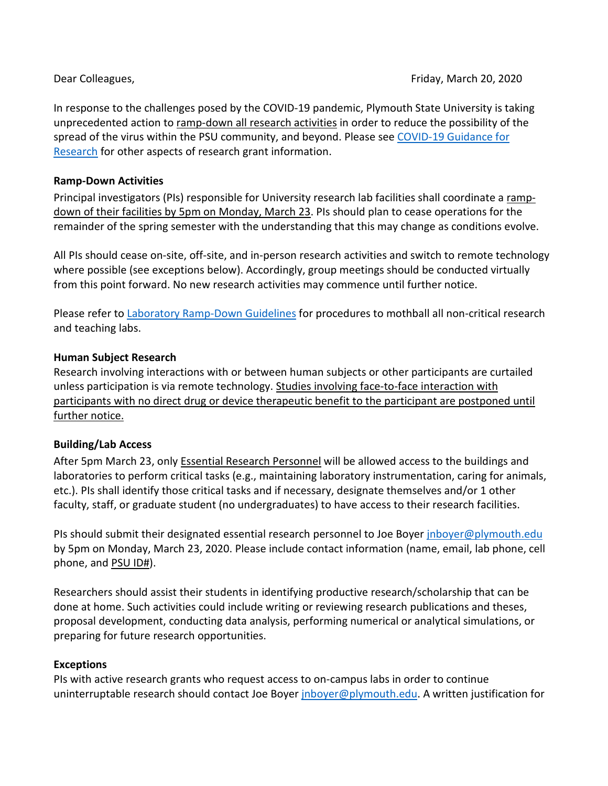In response to the challenges posed by the COVID-19 pandemic, Plymouth State University is taking unprecedented action to ramp-down all research activities in order to reduce the possibility of the spread of the virus within the PSU community, and beyond. Please see [COVID-19 Guidance for](https://campus.plymouth.edu/research/research/covid19-guidance-for-researchers/)  [Research](https://campus.plymouth.edu/research/research/covid19-guidance-for-researchers/) for other aspects of research grant information.

## **Ramp-Down Activities**

Principal investigators (PIs) responsible for University research lab facilities shall coordinate a rampdown of their facilities by 5pm on Monday, March 23. PIs should plan to cease operations for the remainder of the spring semester with the understanding that this may change as conditions evolve.

All PIs should cease on-site, off-site, and in-person research activities and switch to remote technology where possible (see exceptions below). Accordingly, group meetings should be conducted virtually from this point forward. No new research activities may commence until further notice.

Please refer to [Laboratory Ramp-Down Guidelines](https://campus.plymouth.edu/research/wp-content/uploads/sites/163/2020/03/PSU_Laboratory_Closure_Guidelines_2020-03-17.pdf) for procedures to mothball all non-critical research and teaching labs.

### **Human Subject Research**

Research involving interactions with or between human subjects or other participants are curtailed unless participation is via remote technology. Studies involving face-to-face interaction with participants with no direct drug or device therapeutic benefit to the participant are postponed until further notice.

# **Building/Lab Access**

After 5pm March 23, only Essential Research Personnel will be allowed access to the buildings and laboratories to perform critical tasks (e.g., maintaining laboratory instrumentation, caring for animals, etc.). PIs shall identify those critical tasks and if necessary, designate themselves and/or 1 other faculty, staff, or graduate student (no undergraduates) to have access to their research facilities.

PIs should submit their designated essential research personnel to Joe Boyer [jnboyer@plymouth.edu](mailto:jnboyer@plymouth.edu) by 5pm on Monday, March 23, 2020. Please include contact information (name, email, lab phone, cell phone, and PSU ID#).

Researchers should assist their students in identifying productive research/scholarship that can be done at home. Such activities could include writing or reviewing research publications and theses, proposal development, conducting data analysis, performing numerical or analytical simulations, or preparing for future research opportunities.

#### **Exceptions**

PIs with active research grants who request access to on-campus labs in order to continue uninterruptable research should contact Joe Boyer [jnboyer@plymouth.edu.](mailto:jnboyer@plymouth.edu) A written justification for